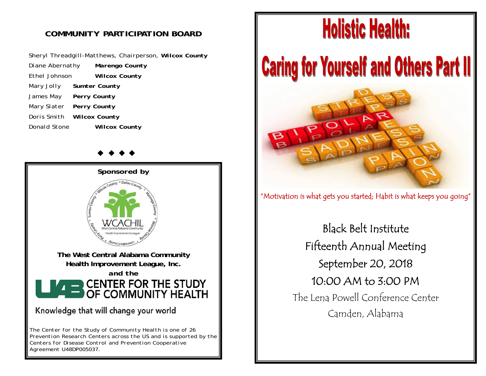## *COMMUNITY PARTICIPATION BOARD*

*Sheryl Threadgill-Matthews, Chairperson, Wilcox County Diane Abernathy Marengo County Ethel Johnson Wilcox County Mary Jolly Sumter County James May Perry County Mary Slater Perry County Doris Smith Wilcox County Donald Stone Wilcox County* 

*Sponsored by*  **The West Central Alabama Community Health Improvement League, Inc.**  *and the* **CENTER FOR THE STUDY** OF COMMUNITY HEALTH Knowledge that will change your world *The Center for the Study of Community Health is one of 26 Prevention Research Centers across the US and is supported by the* 

*Centers for Disease Control and Prevention Cooperative* 

*Agreement U48DP005037.* 

# **Holistic Health:**

**Caring for Yourself and Others Part II** 



"Motivation is what gets you started; Habit is what keeps you going"

Black Belt Institute Fifteenth Annual Meeting September 20, 2018 10:00 AM to 3:00 PM The Lena Powell Conference Center Camden, Alabama